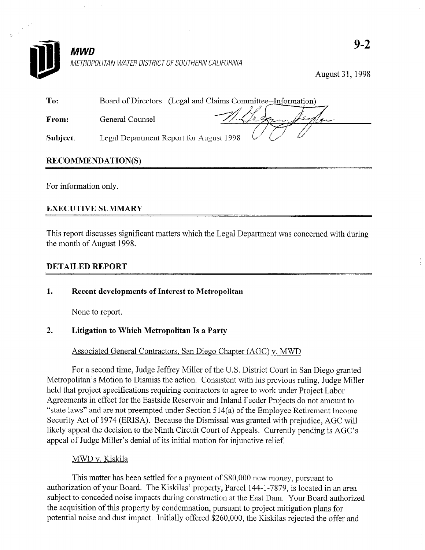

METROPOLITAN WATER DISTRICT OF SOUTHERN CALIFORNIA

August 31,1998

| To:      | Board of Directors (Legal and Claims Committee--Information) |
|----------|--------------------------------------------------------------|
| From:    | Les finder<br>General Counsel                                |
| Subject: | Legal Department Report for August 1998                      |

## RECOMMENDATION(S)

For information only.

## EXECUTIVE SUMMARY

This report discusses significant matters which the Legal Department was concerned with during the month of August 1998.

## DETAILED REPORT

1. Recent developments of Interest to Metropolitan

None to report.

# 2. Litigation to Which Metropolitan Is a Party

### Associated General Contractors, San Diego Chapter (AGC) v. MWD

For a second time, Judge Jeffrey Miller of the U.S. District Court in San Diego granted Metropolitan's Motion to Dismiss the action. Consistent with his previous ruling, Judge Miller held that project specifications requiring contractors to agree to work under Project Labor Agreements in effect for the Eastside Reservoir and Inland Feeder Projects do not amount to "state laws" and are not preempted under Section 5 14(a) of the Employee Retirement Income Security Act of 1974 (ERISA). Because the Dismissal was granted with prejudice, AGC will likely appeal the decision to the Ninth Circuit Court of Appeals. Currently pending is AGC's appeal of Judge Miller's denial of its initial motion for injunctive relief.

### MWD v. Kiskila

This matter has been settled for a payment of \$80,000 new money, pursuant to authorization of your Board. The Kiskilas' property, Parcel 144-1-7879, is located in an area subject to conceded noise impacts during construction at the East Dam. Your Board authorized the acquisition of this property by condemnation, pursuant to project mitigation plans for potential noise and dust impact. Initially offered \$260,000, the Kiskilas rejected the offer and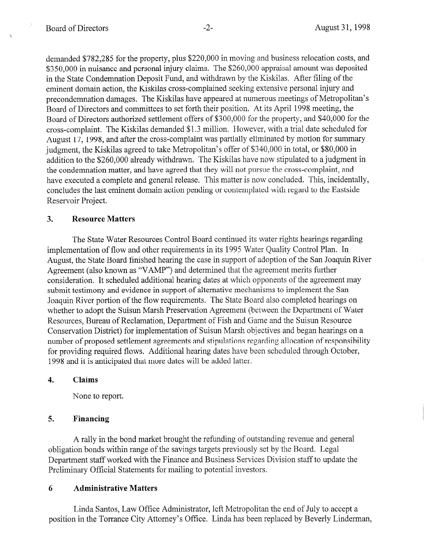demanded \$782,285 for the property, plus \$220,000 in moving and business relocation costs, and \$350,000 in nuisance and personal injury claims. The \$260,000 appraisal amount was deposited in the State Condemnation Deposit Fund, and withdrawn by the Kiskilas. After filing of the eminent domain action, the Kiskilas cross-complained seeking extensive personal injury and precondemnation damages, The Kiskilas have appeared at numerous meetings of Metropolitan's Board of Directors and committees to set forth their position. At its April 1998 meeting, the Board of Directors authorized settlement offers of \$300,000 for the property, and \$40,000 for the cross-complaint. The Kiskilas demanded \$1.3 million. However, with a trial date scheduled for August 17, 1998, and after the cross-complaint was partially eliminated by motion for summary judgment, the Kiskilas agreed to take Metropolitan's offer of \$340,000 in total, or \$80,000 in addition to the \$260,000 already withdrawn. The Kiskilas have now stipulated to a judgment in the condemnation matter, and have agreed that they will not pursue the cross-complaint, and have executed a complete and general release. This matter is now concluded. This, incidentally, concludes the last eminent domain action pending or contemplated with regard to the Eastside Reservoir Project.

#### 3. Resource Matters

The State Water Resources Control Board continued its water rights hearings regarding implementation of flow and other requirements in its 1995 Water Quality Control Plan. In August, the State Board finished hearing the case in support of adoption of the San Joaquin River Agreement (also known as "VAMP") and determined that the agreement merits further consideration. It scheduled additional hearing dates at which opponents of the agreement may submit testimony and evidence in support of alternative mechanisms to implement the San Joaquin River portion of the flow requirements. The State Board also completed hearings on whether to adopt the Suisun Marsh Preservation Agreement (between the Department of Water Resources, Bureau of Reclamation, Department of Fish and Game and the Suisun Resource Conservation District) for implementation of Suisun Marsh objectives and began hearings on a number of proposed settlement agreements and stipulations regarding allocation of responsibility for providing required flows. Additional hearing dates have been scheduled through October, 1998 and it is anticipated that more dates will be added latter.

#### 4. Claims

None to report.

### 5. Financing

A rally in the bond market brought the refunding of outstanding revenue and general obligation bonds within range of the savings targets previously set by the Board. Legal Department staff worked with the Finance and Business Services Division staff to update the Preliminary Official Statements for mailing to potential investors.

### 6 Administrative Matters

Linda Santos, Law Office Administrator, left Metropolitan the end of July to accept a position in the Torrance City Attorney's Office. Linda has been replaced by Beverly Linderman,